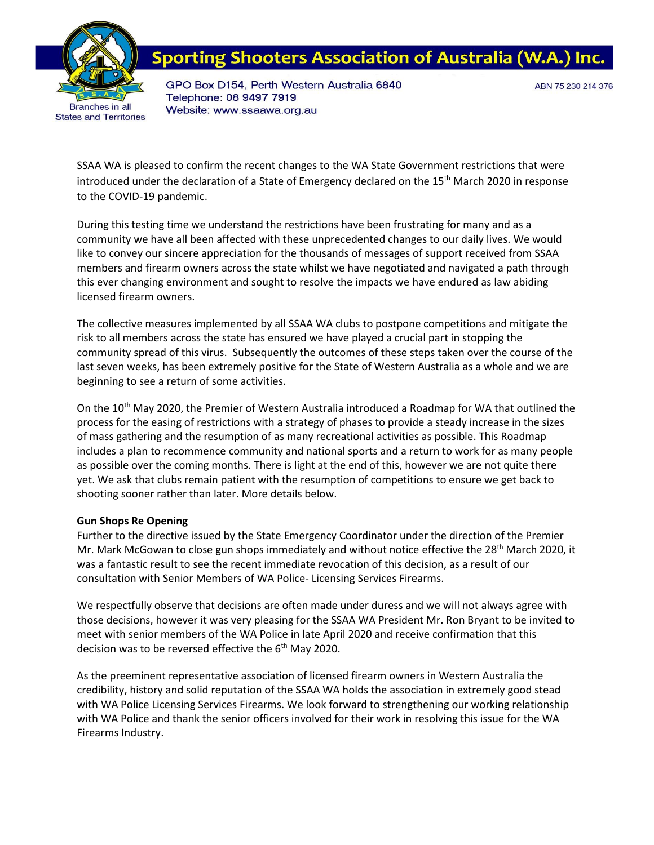

## **Sporting Shooters Association of Australia (W.A**

GPO Box D154, Perth Western Australia 6840 Telephone: 08 9497 7919 Website: www.ssaawa.org.au

ABN 75 230 214 376

SSAA WA is pleased to confirm the recent changes to the WA State Government restrictions that were introduced under the declaration of a State of Emergency declared on the 15<sup>th</sup> March 2020 in response to the COVID-19 pandemic.

During this testing time we understand the restrictions have been frustrating for many and as a community we have all been affected with these unprecedented changes to our daily lives. We would like to convey our sincere appreciation for the thousands of messages of support received from SSAA members and firearm owners across the state whilst we have negotiated and navigated a path through this ever changing environment and sought to resolve the impacts we have endured as law abiding licensed firearm owners.

The collective measures implemented by all SSAA WA clubs to postpone competitions and mitigate the risk to all members across the state has ensured we have played a crucial part in stopping the community spread of this virus. Subsequently the outcomes of these steps taken over the course of the last seven weeks, has been extremely positive for the State of Western Australia as a whole and we are beginning to see a return of some activities.

On the 10<sup>th</sup> May 2020, the Premier of Western Australia introduced a Roadmap for WA that outlined the process for the easing of restrictions with a strategy of phases to provide a steady increase in the sizes of mass gathering and the resumption of as many recreational activities as possible. This Roadmap includes a plan to recommence community and national sports and a return to work for as many people as possible over the coming months. There is light at the end of this, however we are not quite there yet. We ask that clubs remain patient with the resumption of competitions to ensure we get back to shooting sooner rather than later. More details below.

## **Gun Shops Re Opening**

Further to the directive issued by the State Emergency Coordinator under the direction of the Premier Mr. Mark McGowan to close gun shops immediately and without notice effective the 28<sup>th</sup> March 2020, it was a fantastic result to see the recent immediate revocation of this decision, as a result of our consultation with Senior Members of WA Police- Licensing Services Firearms.

We respectfully observe that decisions are often made under duress and we will not always agree with those decisions, however it was very pleasing for the SSAA WA President Mr. Ron Bryant to be invited to meet with senior members of the WA Police in late April 2020 and receive confirmation that this decision was to be reversed effective the  $6<sup>th</sup>$  May 2020.

As the preeminent representative association of licensed firearm owners in Western Australia the credibility, history and solid reputation of the SSAA WA holds the association in extremely good stead with WA Police Licensing Services Firearms. We look forward to strengthening our working relationship with WA Police and thank the senior officers involved for their work in resolving this issue for the WA Firearms Industry.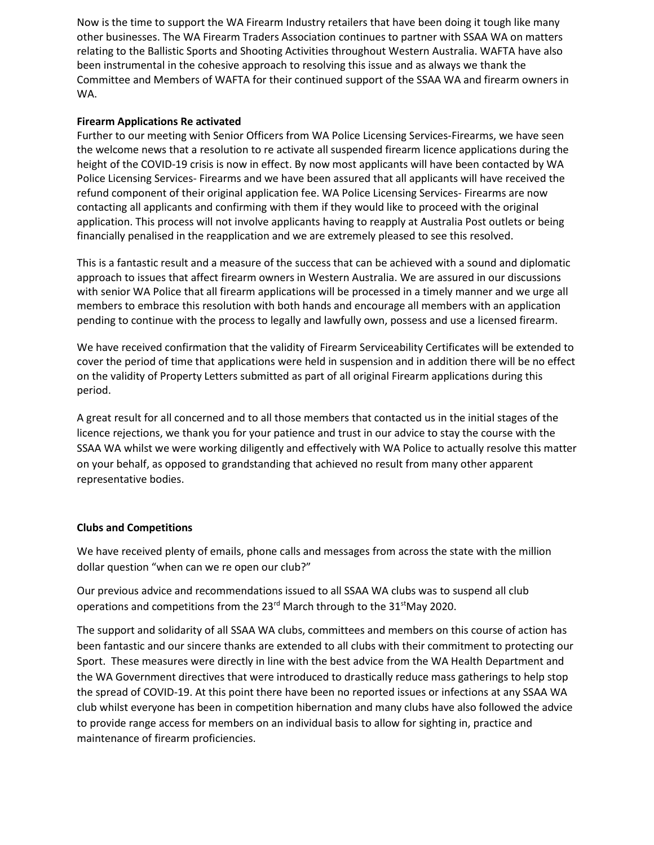Now is the time to support the WA Firearm Industry retailers that have been doing it tough like many other businesses. The WA Firearm Traders Association continues to partner with SSAA WA on matters relating to the Ballistic Sports and Shooting Activities throughout Western Australia. WAFTA have also been instrumental in the cohesive approach to resolving this issue and as always we thank the Committee and Members of WAFTA for their continued support of the SSAA WA and firearm owners in WA.

## **Firearm Applications Re activated**

Further to our meeting with Senior Officers from WA Police Licensing Services-Firearms, we have seen the welcome news that a resolution to re activate all suspended firearm licence applications during the height of the COVID-19 crisis is now in effect. By now most applicants will have been contacted by WA Police Licensing Services- Firearms and we have been assured that all applicants will have received the refund component of their original application fee. WA Police Licensing Services- Firearms are now contacting all applicants and confirming with them if they would like to proceed with the original application. This process will not involve applicants having to reapply at Australia Post outlets or being financially penalised in the reapplication and we are extremely pleased to see this resolved.

This is a fantastic result and a measure of the success that can be achieved with a sound and diplomatic approach to issues that affect firearm owners in Western Australia. We are assured in our discussions with senior WA Police that all firearm applications will be processed in a timely manner and we urge all members to embrace this resolution with both hands and encourage all members with an application pending to continue with the process to legally and lawfully own, possess and use a licensed firearm.

We have received confirmation that the validity of Firearm Serviceability Certificates will be extended to cover the period of time that applications were held in suspension and in addition there will be no effect on the validity of Property Letters submitted as part of all original Firearm applications during this period.

A great result for all concerned and to all those members that contacted us in the initial stages of the licence rejections, we thank you for your patience and trust in our advice to stay the course with the SSAA WA whilst we were working diligently and effectively with WA Police to actually resolve this matter on your behalf, as opposed to grandstanding that achieved no result from many other apparent representative bodies.

## **Clubs and Competitions**

We have received plenty of emails, phone calls and messages from across the state with the million dollar question "when can we re open our club?"

Our previous advice and recommendations issued to all SSAA WA clubs was to suspend all club operations and competitions from the 23<sup>rd</sup> March through to the 31<sup>st</sup>May 2020.

The support and solidarity of all SSAA WA clubs, committees and members on this course of action has been fantastic and our sincere thanks are extended to all clubs with their commitment to protecting our Sport. These measures were directly in line with the best advice from the WA Health Department and the WA Government directives that were introduced to drastically reduce mass gatherings to help stop the spread of COVID-19. At this point there have been no reported issues or infections at any SSAA WA club whilst everyone has been in competition hibernation and many clubs have also followed the advice to provide range access for members on an individual basis to allow for sighting in, practice and maintenance of firearm proficiencies.